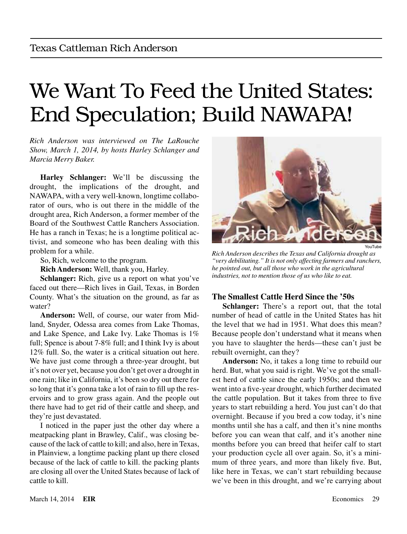# We Want To Feed the United States: End Speculation; Build NAWAPA!

*Rich Anderson was interviewed on [The LaRouche](http://www.larouchepub.com/radio/index.html)  [Show](http://www.larouchepub.com/radio/index.html), March 1, 2014, by hosts Harley Schlanger and Marcia Merry Baker.*

**Harley Schlanger:** We'll be discussing the drought, the implications of the drought, and NAWAPA, with a very well-known, longtime collaborator of ours, who is out there in the middle of the drought area, Rich Anderson, a former member of the Board of the Southwest Cattle Ranchers Association. He has a ranch in Texas; he is a longtime political activist, and someone who has been dealing with this problem for a while.

So, Rich, welcome to the program.

**Rich Anderson:** Well, thank you, Harley.

**Schlanger:** Rich, give us a report on what you've faced out there—Rich lives in Gail, Texas, in Borden County. What's the situation on the ground, as far as water?

**Anderson:** Well, of course, our water from Midland, Snyder, Odessa area comes from Lake Thomas, and Lake Spence, and Lake Ivy. Lake Thomas is 1% full; Spence is about 7-8% full; and I think Ivy is about 12% full. So, the water is a critical situation out here. We have just come through a three-year drought, but it's not over yet, because you don't get over a drought in one rain; like in California, it's been so dry out there for so long that it's gonna take a lot of rain to fill up the reservoirs and to grow grass again. And the people out there have had to get rid of their cattle and sheep, and they're just devastated.

I noticed in the paper just the other day where a meatpacking plant in Brawley, Calif., was closing because of the lack of cattle to kill; and also, here in Texas, in Plainview, a longtime packing plant up there closed because of the lack of cattle to kill. the packing plants are closing all over the United States because of lack of cattle to kill.



YouTube

*Rich Anderson describes the Texas and California drought as "very debilitating." It is not only affecting farmers and ranchers, he pointed out, but all those who work in the agricultural industries, not to mention those of us who like to eat.*

### **The Smallest Cattle Herd Since the '50s**

**Schlanger:** There's a report out, that the total number of head of cattle in the United States has hit the level that we had in 1951. What does this mean? Because people don't understand what it means when you have to slaughter the herds—these can't just be rebuilt overnight, can they?

**Anderson:** No, it takes a long time to rebuild our herd. But, what you said is right. We've got the smallest herd of cattle since the early 1950s; and then we went into a five-year drought, which further decimated the cattle population. But it takes from three to five years to start rebuilding a herd. You just can't do that overnight. Because if you bred a cow today, it's nine months until she has a calf, and then it's nine months before you can wean that calf, and it's another nine months before you can breed that heifer calf to start your production cycle all over again. So, it's a minimum of three years, and more than likely five. But, like here in Texas, we can't start rebuilding because we've been in this drought, and we're carrying about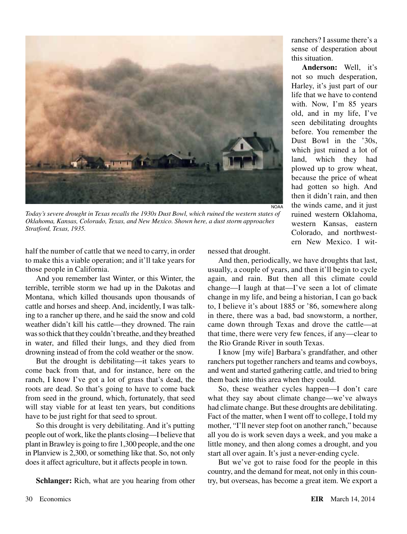

*Today's severe drought in Texas recalls the 1930s Dust Bowl, which ruined the western states of Oklahoma, Kansas, Colorado, Texas, and New Mexico. Shown here, a dust storm approaches Stratford, Texas, 1935.*

half the number of cattle that we need to carry, in order to make this a viable operation; and it'll take years for those people in California.

And you remember last Winter, or this Winter, the terrible, terrible storm we had up in the Dakotas and Montana, which killed thousands upon thousands of cattle and horses and sheep. And, incidently, I was talking to a rancher up there, and he said the snow and cold weather didn't kill his cattle—they drowned. The rain was so thick that they couldn't breathe, and they breathed in water, and filled their lungs, and they died from drowning instead of from the cold weather or the snow.

But the drought is debilitating—it takes years to come back from that, and for instance, here on the ranch, I know I've got a lot of grass that's dead, the roots are dead. So that's going to have to come back from seed in the ground, which, fortunately, that seed will stay viable for at least ten years, but conditions have to be just right for that seed to sprout.

So this drought is very debilitating. And it's putting people out of work, like the plants closing—I believe that plant in Brawley is going to fire 1,300 people, and the one in Planview is 2,300, or something like that. So, not only does it affect agriculture, but it affects people in town.

**Schlanger:** Rich, what are you hearing from other

nessed that drought.

And then, periodically, we have droughts that last, usually, a couple of years, and then it'll begin to cycle again, and rain. But then all this climate could change—I laugh at that—I've seen a lot of climate change in my life, and being a historian, I can go back to, I believe it's about 1885 or '86, somewhere along in there, there was a bad, bad snowstorm, a norther, came down through Texas and drove the cattle—at that time, there were very few fences, if any—clear to the Rio Grande River in south Texas.

I know [my wife] Barbara's grandfather, and other ranchers put together ranchers and teams and cowboys, and went and started gathering cattle, and tried to bring them back into this area when they could.

So, these weather cycles happen—I don't care what they say about climate change—we've always had climate change. But these droughts are debilitating. Fact of the matter, when I went off to college, I told my mother, "I'll never step foot on another ranch," because all you do is work seven days a week, and you make a little money, and then along comes a drought, and you start all over again. It's just a never-ending cycle.

But we've got to raise food for the people in this country, and the demand for meat, not only in this country, but overseas, has become a great item. We export a

ranchers? I assume there's a sense of desperation about this situation.

**Anderson:** Well, it's not so much desperation, Harley, it's just part of our life that we have to contend with. Now, I'm 85 years old, and in my life, I've seen debilitating droughts before. You remember the Dust Bowl in the '30s, which just ruined a lot of land, which they had plowed up to grow wheat, because the price of wheat had gotten so high. And then it didn't rain, and then the winds came, and it just ruined western Oklahoma, western Kansas, eastern Colorado, and northwestern New Mexico. I wit-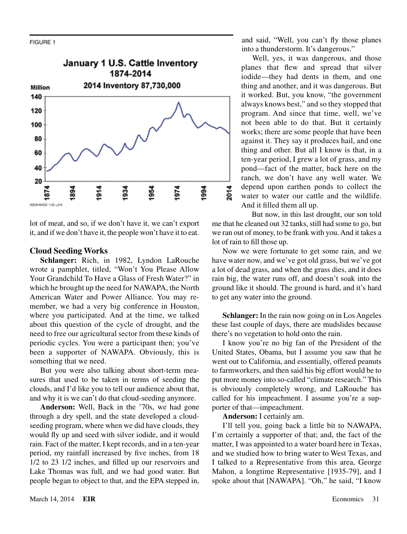

lot of meat, and so, if we don't have it, we can't export it, and if we don't have it, the people won't have it to eat.

### **Cloud Seeding Works**

**Schlanger:** Rich, in 1982, Lyndon LaRouche wrote a pamphlet, titled, "Won't You Please Allow Your Grandchild To Have a Glass of Fresh Water?" in which he brought up the need for NAWAPA, the North American Water and Power Alliance. You may remember, we had a very big conference in Houston, where you participated. And at the time, we talked about this question of the cycle of drought, and the need to free our agricultural sector from these kinds of periodic cycles. You were a participant then; you've been a supporter of NAWAPA. Obviously, this is something that we need.

But you were also talking about short-term measures that used to be taken in terms of seeding the clouds, and I'd like you to tell our audience about that, and why it is we can't do that cloud-seeding anymore.

**Anderson:** Well, Back in the '70s, we had gone through a dry spell, and the state developed a cloudseeding program, where when we did have clouds, they would fly up and seed with silver iodide, and it would rain. Fact of the matter, I kept records, and in a ten-year period, my rainfall increased by five inches, from 18 1/2 to 23 1/2 inches, and filled up our reservoirs and Lake Thomas was full, and we had good water. But people began to object to that, and the EPA stepped in, and said, "Well, you can't fly those planes into a thunderstorm. It's dangerous."

Well, yes, it was dangerous, and those planes that flew and spread that silver iodide—they had dents in them, and one thing and another, and it was dangerous. But it worked. But, you know, "the government always knows best," and so they stopped that program. And since that time, well, we've not been able to do that. But it certainly works; there are some people that have been against it. They say it produces hail, and one thing and other. But all I know is that, in a ten-year period, I grew a lot of grass, and my pond—fact of the matter, back here on the ranch, we don't have any well water. We depend upon earthen ponds to collect the water to water our cattle and the wildlife. And it filled them all up.

But now, in this last drought, our son told me that he cleaned out 32 tanks, still had some to go, but we ran out of money, to be frank with you. And it takes a lot of rain to fill those up.

Now we were fortunate to get some rain, and we have water now, and we've got old grass, but we've got a lot of dead grass, and when the grass dies, and it does rain big, the water runs off, and doesn't soak into the ground like it should. The ground is hard, and it's hard to get any water into the ground.

**Schlanger:** In the rain now going on in Los Angeles these last couple of days, there are mudslides because there's no vegetation to hold onto the rain.

I know you're no big fan of the President of the United States, Obama, but I assume you saw that he went out to California, and essentially, offered peanuts to farmworkers, and then said his big effort would be to put more money into so-called "climate research." This is obviously completely wrong, and LaRouche has called for his impeachment. I assume you're a supporter of that—impeachment.

**Anderson:** I certainly am.

I'll tell you, going back a little bit to NAWAPA, I'm certainly a supporter of that; and, the fact of the matter, I was appointed to a water board here in Texas, and we studied how to bring water to West Texas, and I talked to a Representative from this area, George Mahon, a longtime Representative [1935-79], and I spoke about that [NAWAPA]. "Oh," he said, "I know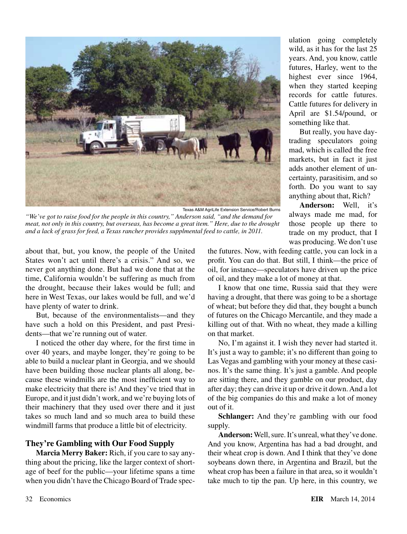

*"We've got to raise food for the people in this country," Anderson said, "and the demand for meat, not only in this country, but overseas, has become a great item." Here, due to the drought and a lack of grass for feed, a Texas rancher provides supplmental feed to cattle, in 2011.*

about that, but, you know, the people of the United States won't act until there's a crisis." And so, we never got anything done. But had we done that at the time, California wouldn't be suffering as much from the drought, because their lakes would be full; and here in West Texas, our lakes would be full, and we'd have plenty of water to drink.

But, because of the environmentalists—and they have such a hold on this President, and past Presidents—that we're running out of water.

I noticed the other day where, for the first time in over 40 years, and maybe longer, they're going to be able to build a nuclear plant in Georgia, and we should have been building those nuclear plants all along, because these windmills are the most inefficient way to make electricity that there is! And they've tried that in Europe, and it just didn't work, and we're buying lots of their machinery that they used over there and it just takes so much land and so much area to build these windmill farms that produce a little bit of electricity.

### **They're Gambling with Our Food Supply**

**Marcia Merry Baker:** Rich, if you care to say anything about the pricing, like the larger context of shortage of beef for the public—your lifetime spans a time when you didn't have the Chicago Board of Trade speculation going completely wild, as it has for the last 25 years. And, you know, cattle futures, Harley, went to the highest ever since 1964, when they started keeping records for cattle futures. Cattle futures for delivery in April are \$1.54/pound, or something like that.

But really, you have daytrading speculators going mad, which is called the free markets, but in fact it just adds another element of uncertainty, parasitisim, and so forth. Do you want to say anything about that, Rich?

**Anderson:** Well, it's always made me mad, for those people up there to trade on my product, that I was producing. We don't use

the futures. Now, with feeding cattle, you can lock in a profit. You can do that. But still, I think—the price of oil, for instance—speculators have driven up the price of oil, and they make a lot of money at that.

I know that one time, Russia said that they were having a drought, that there was going to be a shortage of wheat; but before they did that, they bought a bunch of futures on the Chicago Mercantile, and they made a killing out of that. With no wheat, they made a killing on that market.

No, I'm against it. I wish they never had started it. It's just a way to gamble; it's no different than going to Las Vegas and gambling with your money at these casinos. It's the same thing. It's just a gamble. And people are sitting there, and they gamble on our product, day after day; they can drive it up or drive it down. And a lot of the big companies do this and make a lot of money out of it.

**Schlanger:** And they're gambling with our food supply.

**Anderson:** Well, sure. It's unreal, what they've done. And you know, Argentina has had a bad drought, and their wheat crop is down. And I think that they've done soybeans down there, in Argentina and Brazil, but the wheat crop has been a failure in that area, so it wouldn't take much to tip the pan. Up here, in this country, we